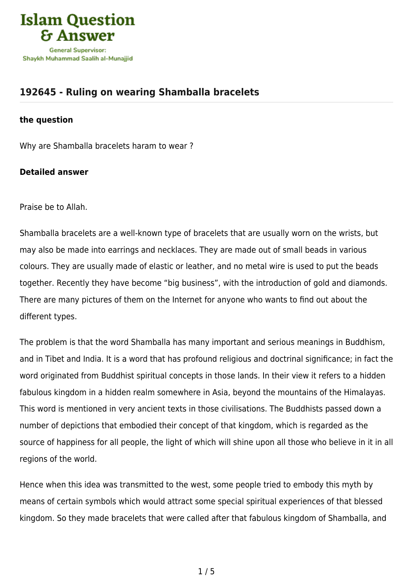

## **[192645 - Ruling on wearing Shamballa bracelets](https://islamqa.com/en/answers/192645/ruling-on-wearing-shamballa-bracelets)**

## **the question**

Why are Shamballa bracelets haram to wear ?

## **Detailed answer**

Praise be to Allah.

Shamballa bracelets are a well-known type of bracelets that are usually worn on the wrists, but may also be made into earrings and necklaces. They are made out of small beads in various colours. They are usually made of elastic or leather, and no metal wire is used to put the beads together. Recently they have become "big business", with the introduction of gold and diamonds. There are many pictures of them on the Internet for anyone who wants to find out about the different types.

The problem is that the word Shamballa has many important and serious meanings in Buddhism, and in Tibet and India. It is a word that has profound religious and doctrinal significance; in fact the word originated from Buddhist spiritual concepts in those lands. In their view it refers to a hidden fabulous kingdom in a hidden realm somewhere in Asia, beyond the mountains of the Himalayas. This word is mentioned in very ancient texts in those civilisations. The Buddhists passed down a number of depictions that embodied their concept of that kingdom, which is regarded as the source of happiness for all people, the light of which will shine upon all those who believe in it in all regions of the world.

Hence when this idea was transmitted to the west, some people tried to embody this myth by means of certain symbols which would attract some special spiritual experiences of that blessed kingdom. So they made bracelets that were called after that fabulous kingdom of Shamballa, and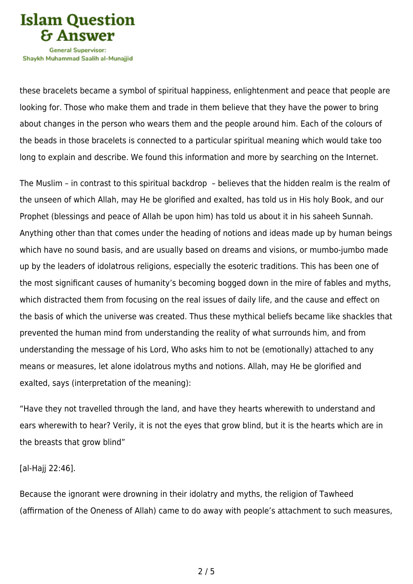

Shavkh Muhammad Saalih al-Munaiiid

these bracelets became a symbol of spiritual happiness, enlightenment and peace that people are looking for. Those who make them and trade in them believe that they have the power to bring about changes in the person who wears them and the people around him. Each of the colours of the beads in those bracelets is connected to a particular spiritual meaning which would take too long to explain and describe. We found this information and more by searching on the Internet.

The Muslim – in contrast to this spiritual backdrop – believes that the hidden realm is the realm of the unseen of which Allah, may He be glorified and exalted, has told us in His holy Book, and our Prophet (blessings and peace of Allah be upon him) has told us about it in his saheeh Sunnah. Anything other than that comes under the heading of notions and ideas made up by human beings which have no sound basis, and are usually based on dreams and visions, or mumbo-jumbo made up by the leaders of idolatrous religions, especially the esoteric traditions. This has been one of the most significant causes of humanity's becoming bogged down in the mire of fables and myths, which distracted them from focusing on the real issues of daily life, and the cause and effect on the basis of which the universe was created. Thus these mythical beliefs became like shackles that prevented the human mind from understanding the reality of what surrounds him, and from understanding the message of his Lord, Who asks him to not be (emotionally) attached to any means or measures, let alone idolatrous myths and notions. Allah, may He be glorified and exalted, says (interpretation of the meaning):

"Have they not travelled through the land, and have they hearts wherewith to understand and ears wherewith to hear? Verily, it is not the eyes that grow blind, but it is the hearts which are in the breasts that grow blind"

[al-Hajj 22:46].

Because the ignorant were drowning in their idolatry and myths, the religion of Tawheed (affirmation of the Oneness of Allah) came to do away with people's attachment to such measures,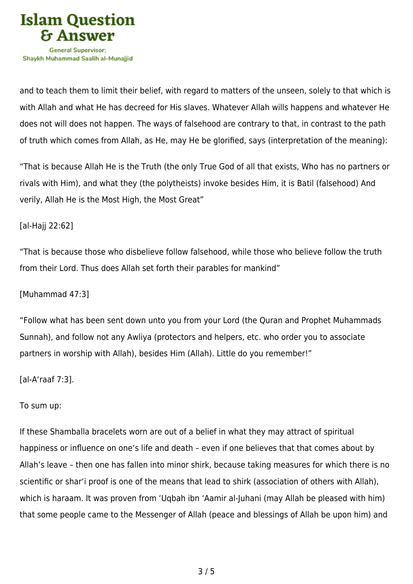

and to teach them to limit their belief, with regard to matters of the unseen, solely to that which is with Allah and what He has decreed for His slaves. Whatever Allah wills happens and whatever He does not will does not happen. The ways of falsehood are contrary to that, in contrast to the path of truth which comes from Allah, as He, may He be glorified, says (interpretation of the meaning):

"That is because Allah He is the Truth (the only True God of all that exists, Who has no partners or rivals with Him), and what they (the polytheists) invoke besides Him, it is Batil (falsehood) And verily, Allah He is the Most High, the Most Great"

[al-Hajj 22:62]

"That is because those who disbelieve follow falsehood, while those who believe follow the truth from their Lord. Thus does Allah set forth their parables for mankind"

[Muhammad 47:3]

"Follow what has been sent down unto you from your Lord (the Quran and Prophet Muhammads Sunnah), and follow not any Awliya (protectors and helpers, etc. who order you to associate partners in worship with Allah), besides Him (Allah). Little do you remember!"

[al-A'raaf 7:3].

To sum up:

If these Shamballa bracelets worn are out of a belief in what they may attract of spiritual happiness or influence on one's life and death – even if one believes that that comes about by Allah's leave – then one has fallen into minor shirk, because taking measures for which there is no scientific or shar'i proof is one of the means that lead to shirk (association of others with Allah), which is haraam. It was proven from 'Uqbah ibn 'Aamir al-Juhani (may Allah be pleased with him) that some people came to the Messenger of Allah (peace and blessings of Allah be upon him) and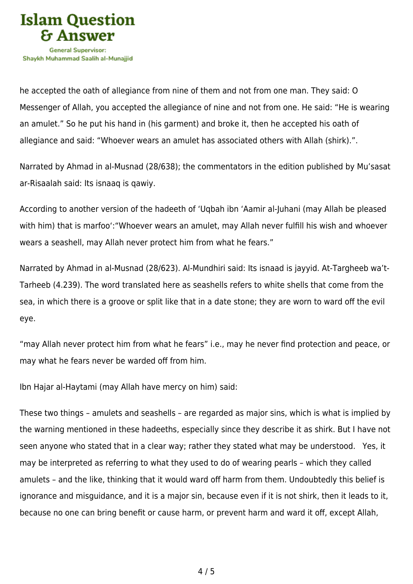

he accepted the oath of allegiance from nine of them and not from one man. They said: O Messenger of Allah, you accepted the allegiance of nine and not from one. He said: "He is wearing an amulet." So he put his hand in (his garment) and broke it, then he accepted his oath of allegiance and said: "Whoever wears an amulet has associated others with Allah (shirk).".

Narrated by Ahmad in al-Musnad (28/638); the commentators in the edition published by Mu'sasat ar-Risaalah said: Its isnaaq is qawiy.

According to another version of the hadeeth of 'Uqbah ibn 'Aamir al-Juhani (may Allah be pleased with him) that is marfoo':"Whoever wears an amulet, may Allah never fulfill his wish and whoever wears a seashell, may Allah never protect him from what he fears."

Narrated by Ahmad in al-Musnad (28/623). Al-Mundhiri said: Its isnaad is jayyid. At-Targheeb wa't-Tarheeb (4.239). The word translated here as seashells refers to white shells that come from the sea, in which there is a groove or split like that in a date stone; they are worn to ward off the evil eye.

"may Allah never protect him from what he fears" i.e., may he never find protection and peace, or may what he fears never be warded off from him.

Ibn Hajar al-Haytami (may Allah have mercy on him) said:

These two things – amulets and seashells – are regarded as major sins, which is what is implied by the warning mentioned in these hadeeths, especially since they describe it as shirk. But I have not seen anyone who stated that in a clear way; rather they stated what may be understood. Yes, it may be interpreted as referring to what they used to do of wearing pearls – which they called amulets – and the like, thinking that it would ward off harm from them. Undoubtedly this belief is ignorance and misguidance, and it is a major sin, because even if it is not shirk, then it leads to it, because no one can bring benefit or cause harm, or prevent harm and ward it off, except Allah,